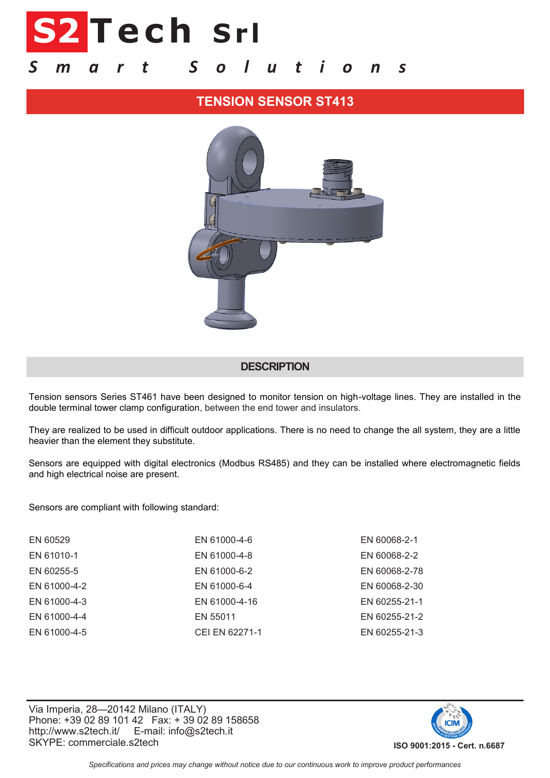# **S2 T e c h S r l**

## *S m a r t S o l u t i o n s*

## **TENSION SENSOR ST413**



#### **DESCRIPTION**

Tension sensors Series ST461 have been designed to monitor tension on high-voltage lines. They are installed in the double terminal tower clamp configuration, between the end tower and insulators.

They are realized to be used in difficult outdoor applications. There is no need to change the all system, they are a little heavier than the element they substitute.

Sensors are equipped with digital electronics (Modbus RS485) and they can be installed where electromagnetic fields and high electrical noise are present.

Sensors are compliant with following standard:

| EN 60529     | EN 61000-4-6   | EN 60068-2-1  |
|--------------|----------------|---------------|
| EN 61010-1   | EN 61000-4-8   | EN 60068-2-2  |
| EN 60255-5   | EN 61000-6-2   | EN 60068-2-78 |
| EN 61000-4-2 | EN 61000-6-4   | EN 60068-2-30 |
| EN 61000-4-3 | EN 61000-4-16  | EN 60255-21-1 |
| EN 61000-4-4 | EN 55011       | EN 60255-21-2 |
| EN 61000-4-5 | CEI EN 62271-1 | EN 60255-21-3 |
|              |                |               |

Via Imperia, 28—20142 Milano (ITALY) Phone: +39 02 89 101 42 Fax: + 39 02 89 158658 http://www.s2tech.it/ E-mail: info@s2tech.it SKYPE: commerciale.s2tech